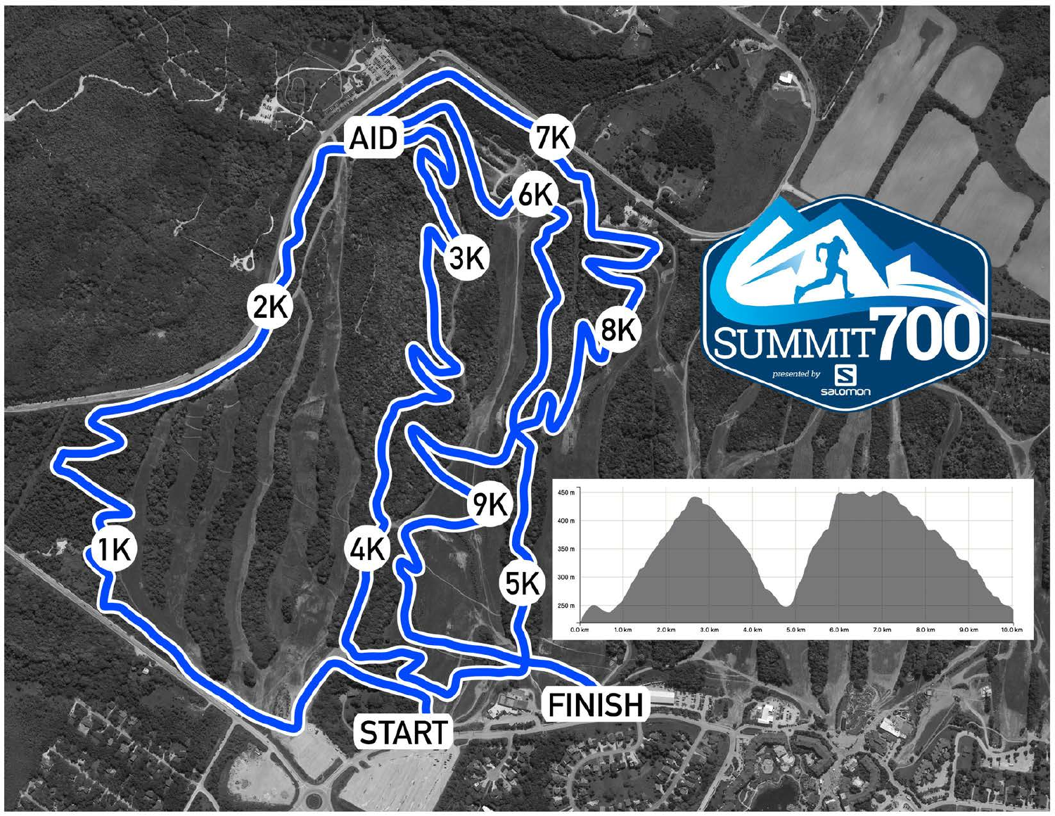